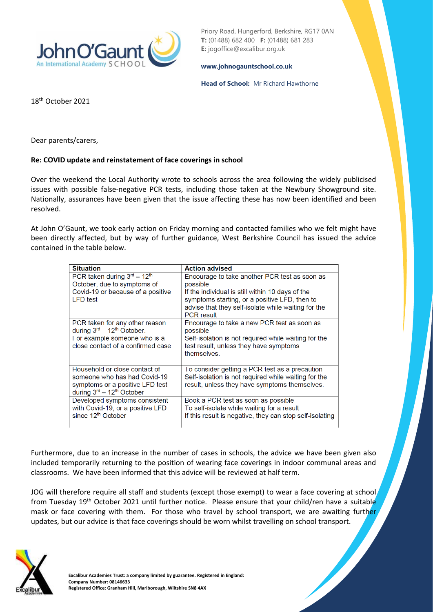

Priory Road, Hungerford, Berkshire, RG17 0AN **T:** (01488) 682 400 **F:** (01488) 681 283 **E:** jogoffice@excalibur.org.uk

## **[www.johnogauntschool.co.uk](http://www.johnogauntschool.co.uk/)**

## **Head of School:** Mr Richard Hawthorne

18th October 2021

Dear parents/carers,

## **Re: COVID update and reinstatement of face coverings in school**

Over the weekend the Local Authority wrote to schools across the area following the widely publicised issues with possible false-negative PCR tests, including those taken at the Newbury Showground site. Nationally, assurances have been given that the issue affecting these has now been identified and been resolved.

At John O'Gaunt, we took early action on Friday morning and contacted families who we felt might have been directly affected, but by way of further guidance, West Berkshire Council has issued the advice contained in the table below.

| <b>Situation</b>                                                                                                                              | <b>Action advised</b>                                                                                                                                                                                                                      |
|-----------------------------------------------------------------------------------------------------------------------------------------------|--------------------------------------------------------------------------------------------------------------------------------------------------------------------------------------------------------------------------------------------|
| PCR taken during $3rd - 12th$<br>October, due to symptoms of<br>Covid-19 or because of a positive<br><b>LFD</b> test                          | Encourage to take another PCR test as soon as<br>possible<br>If the individual is still within 10 days of the<br>symptoms starting, or a positive LFD, then to<br>advise that they self-isolate while waiting for the<br><b>PCR</b> result |
| PCR taken for any other reason<br>during 3rd - 12 <sup>th</sup> October.<br>For example someone who is a<br>close contact of a confirmed case | Encourage to take a new PCR test as soon as<br>possible<br>Self-isolation is not required while waiting for the<br>test result, unless they have symptoms<br>themselves                                                                    |
| Household or close contact of<br>someone who has had Covid-19<br>symptoms or a positive LFD test<br>during 3rd - 12 <sup>th</sup> October     | To consider getting a PCR test as a precaution<br>Self-isolation is not required while waiting for the<br>result, unless they have symptoms themselves.                                                                                    |
| Developed symptoms consistent<br>with Covid-19, or a positive LFD<br>since 12 <sup>th</sup> October                                           | Book a PCR test as soon as possible<br>To self-isolate while waiting for a result<br>If this result is negative, they can stop self-isolating                                                                                              |

Furthermore, due to an increase in the number of cases in schools, the advice we have been given also included temporarily returning to the position of wearing face coverings in indoor communal areas and classrooms. We have been informed that this advice will be reviewed at half term.

JOG will therefore require all staff and students (except those exempt) to wear a face covering at school from Tuesday 19<sup>th</sup> October 2021 until further notice. Please ensure that your child/ren have a suitable mask or face covering with them. For those who travel by school transport, we are awaiting further updates, but our advice is that face coverings should be worn whilst travelling on school transport.